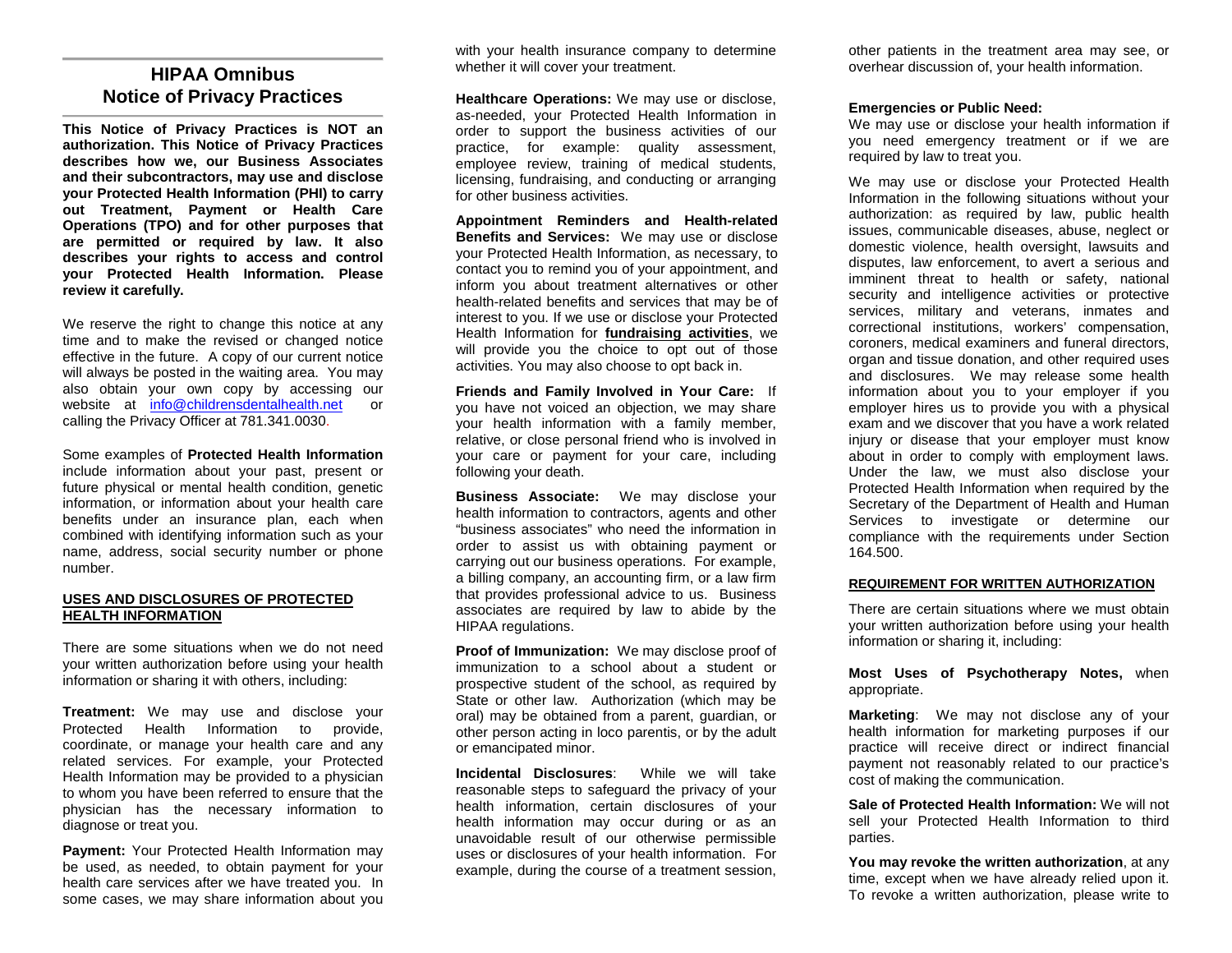### **HIPAA Omnibus Notice of Privacy Practices**

**This Notice of Privacy Practices is NOT an authorization. This Notice of Privacy Practices describes how we, our Business Associates and their subcontractors, may use and disclose your Protected Health Information (PHI) to carry out Treatment, Payment or Health Care Operations (TPO) and for other purposes that are permitted or required by law. It also describes your rights to access and control your Protected Health Information. Please review it carefully.**

We reserve the right to change this notice at any time and to make the revised or changed notice effective in the future. A copy of our current notice will always be posted in the waiting area. You may also obtain your own copy by accessing our website at [info@childrensdentalhealth.net](mailto:info@childrensdentalhealth.net) or calling the Privacy Officer at 781.341.0030.

Some examples of **Protected Health Information** include information about your past, present or future physical or mental health condition, genetic information, or information about your health care benefits under an insurance plan, each when combined with identifying information such as your name, address, social security number or phone number.

#### **USES AND DISCLOSURES OF PROTECTED HEALTH INFORMATION**

There are some situations when we do not need your written authorization before using your health information or sharing it with others, including:

**Treatment:** We may use and disclose your Protected Health Information to provide, coordinate, or manage your health care and any related services. For example, your Protected Health Information may be provided to a physician to whom you have been referred to ensure that the physician has the necessary information to diagnose or treat you.

**Payment:** Your Protected Health Information may be used, as needed, to obtain payment for your health care services after we have treated you. In some cases, we may share information about you with your health insurance company to determine whether it will cover your treatment.

**Healthcare Operations:** We may use or disclose, as-needed, your Protected Health Information in order to support the business activities of our practice, for example: quality assessment, employee review, training of medical students, licensing, fundraising, and conducting or arranging for other business activities.

**Appointment Reminders and Health-related Benefits and Services:** We may use or disclose your Protected Health Information, as necessary, to contact you to remind you of your appointment, and inform you about treatment alternatives or other health-related benefits and services that may be of interest to you. If we use or disclose your Protected Health Information for **fundraising activities**, we will provide you the choice to opt out of those activities. You may also choose to opt back in.

**Friends and Family Involved in Your Care:** If you have not voiced an objection, we may share your health information with a family member, relative, or close personal friend who is involved in your care or payment for your care, including following your death.

**Business Associate:** We may disclose your health information to contractors, agents and other "business associates" who need the information in order to assist us with obtaining payment or carrying out our business operations. For example, a billing company, an accounting firm, or a law firm that provides professional advice to us. Business associates are required by law to abide by the HIPAA regulations.

**Proof of Immunization:** We may disclose proof of immunization to a school about a student or prospective student of the school, as required by State or other law. Authorization (which may be oral) may be obtained from a parent, guardian, or other person acting in loco parentis, or by the adult or emancipated minor.

**Incidental Disclosures**: While we will take reasonable steps to safeguard the privacy of your health information, certain disclosures of your health information may occur during or as an unavoidable result of our otherwise permissible uses or disclosures of your health information. For example, during the course of a treatment session, other patients in the treatment area may see, or overhear discussion of, your health information.

#### **Emergencies or Public Need:**

We may use or disclose your health information if you need emergency treatment or if we are required by law to treat you.

We may use or disclose your Protected Health Information in the following situations without your authorization: as required by law, public health issues, communicable diseases, abuse, neglect or domestic violence, health oversight, lawsuits and disputes, law enforcement, to avert a serious and imminent threat to health or safety, national security and intelligence activities or protective services, military and veterans, inmates and correctional institutions, workers' compensation, coroners, medical examiners and funeral directors, organ and tissue donation, and other required uses and disclosures. We may release some health information about you to your employer if you employer hires us to provide you with a physical exam and we discover that you have a work related injury or disease that your employer must know about in order to comply with employment laws. Under the law, we must also disclose your Protected Health Information when required by the Secretary of the Department of Health and Human Services to investigate or determine our compliance with the requirements under Section 164.500.

#### **REQUIREMENT FOR WRITTEN AUTHORIZATION**

There are certain situations where we must obtain your written authorization before using your health information or sharing it, including:

**Most Uses of Psychotherapy Notes,** when appropriate.

**Marketing**: We may not disclose any of your health information for marketing purposes if our practice will receive direct or indirect financial payment not reasonably related to our practice's cost of making the communication.

**Sale of Protected Health Information:** We will not sell your Protected Health Information to third parties.

**You may revoke the written authorization**, at any time, except when we have already relied upon it. To revoke a written authorization, please write to